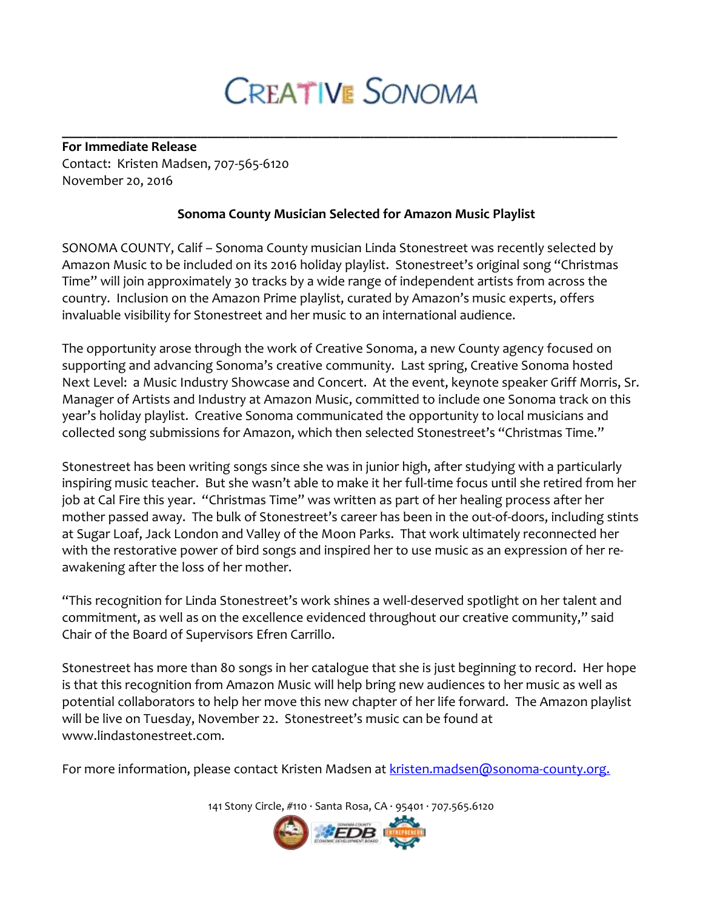## **CREATIVE SONOMA**

**\_\_\_\_\_\_\_\_\_\_\_\_\_\_\_\_\_\_\_\_\_\_\_\_\_\_\_\_\_\_\_\_\_\_\_\_\_\_\_\_\_\_\_\_\_\_\_\_\_\_\_\_\_\_\_\_\_\_\_\_\_\_\_\_\_\_\_\_\_\_\_\_\_\_\_\_\_\_\_\_**

**For Immediate Release** Contact: Kristen Madsen, 707-565-6120 November 20, 2016

## **Sonoma County Musician Selected for Amazon Music Playlist**

SONOMA COUNTY, Calif – Sonoma County musician Linda Stonestreet was recently selected by Amazon Music to be included on its 2016 holiday playlist. Stonestreet's original song "Christmas Time" will join approximately 30 tracks by a wide range of independent artists from across the country. Inclusion on the Amazon Prime playlist, curated by Amazon's music experts, offers invaluable visibility for Stonestreet and her music to an international audience.

The opportunity arose through the work of Creative Sonoma, a new County agency focused on supporting and advancing Sonoma's creative community. Last spring, Creative Sonoma hosted Next Level: a Music Industry Showcase and Concert. At the event, keynote speaker Griff Morris, Sr. Manager of Artists and Industry at Amazon Music, committed to include one Sonoma track on this year's holiday playlist. Creative Sonoma communicated the opportunity to local musicians and collected song submissions for Amazon, which then selected Stonestreet's "Christmas Time."

Stonestreet has been writing songs since she was in junior high, after studying with a particularly inspiring music teacher. But she wasn't able to make it her full-time focus until she retired from her job at Cal Fire this year. "Christmas Time" was written as part of her healing process after her mother passed away. The bulk of Stonestreet's career has been in the out-of-doors, including stints at Sugar Loaf, Jack London and Valley of the Moon Parks. That work ultimately reconnected her with the restorative power of bird songs and inspired her to use music as an expression of her reawakening after the loss of her mother.

"This recognition for Linda Stonestreet's work shines a well-deserved spotlight on her talent and commitment, as well as on the excellence evidenced throughout our creative community," said Chair of the Board of Supervisors Efren Carrillo.

Stonestreet has more than 80 songs in her catalogue that she is just beginning to record. Her hope is that this recognition from Amazon Music will help bring new audiences to her music as well as potential collaborators to help her move this new chapter of her life forward. The Amazon playlist will be live on Tuesday, November 22. Stonestreet's music can be found at www.lindastonestreet.com.

For more information, please contact Kristen Madsen at [kristen.madsen@sonoma-county.org.](mailto:kristen.madsen@sonoma-county.org)

141 Stony Circle, #110 · Santa Rosa, CA · 95401 · 707.565.6120